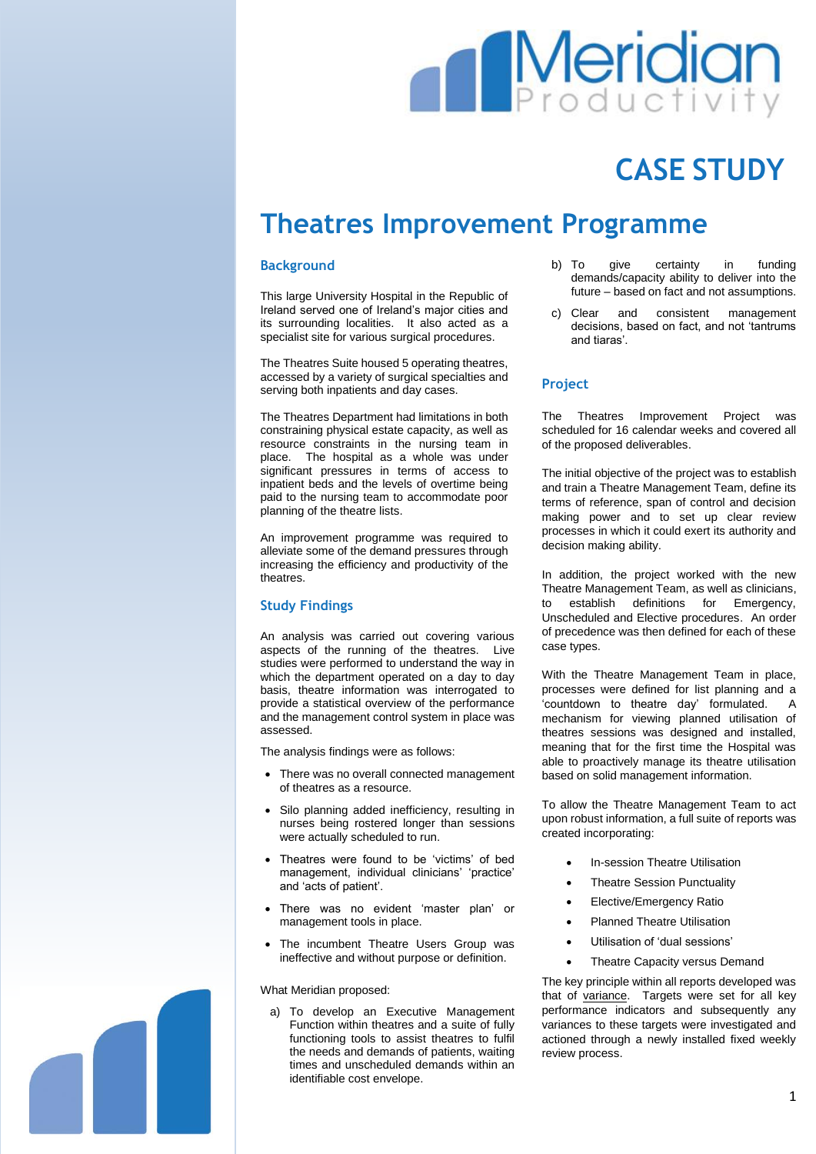# **Meridia**

## **CASE STUDY**

### **Theatres Improvement Programme**

#### **Background**

This large University Hospital in the Republic of Ireland served one of Ireland's major cities and its surrounding localities. It also acted as a specialist site for various surgical procedures.

The Theatres Suite housed 5 operating theatres, accessed by a variety of surgical specialties and serving both inpatients and day cases.

The Theatres Department had limitations in both constraining physical estate capacity, as well as resource constraints in the nursing team in place. The hospital as a whole was under significant pressures in terms of access to inpatient beds and the levels of overtime being paid to the nursing team to accommodate poor planning of the theatre lists.

An improvement programme was required to alleviate some of the demand pressures through increasing the efficiency and productivity of the theatres.

#### **Study Findings**

An analysis was carried out covering various aspects of the running of the theatres. Live studies were performed to understand the way in which the department operated on a day to day basis, theatre information was interrogated to provide a statistical overview of the performance and the management control system in place was assessed.

The analysis findings were as follows:

- There was no overall connected management of theatres as a resource.
- Silo planning added inefficiency, resulting in nurses being rostered longer than sessions were actually scheduled to run.
- Theatres were found to be 'victims' of bed management, individual clinicians' 'practice' and 'acts of patient'.
- There was no evident 'master plan' or management tools in place.
- The incumbent Theatre Users Group was ineffective and without purpose or definition.

What Meridian proposed:

a) To develop an Executive Management Function within theatres and a suite of fully functioning tools to assist theatres to fulfil the needs and demands of patients, waiting times and unscheduled demands within an identifiable cost envelope.

- b) To give certainty in funding demands/capacity ability to deliver into the future – based on fact and not assumptions.
- c) Clear and consistent management decisions, based on fact, and not 'tantrums and tiaras'.

#### **Project**

The Theatres Improvement Project was scheduled for 16 calendar weeks and covered all of the proposed deliverables.

The initial objective of the project was to establish and train a Theatre Management Team, define its terms of reference, span of control and decision making power and to set up clear review processes in which it could exert its authority and decision making ability.

In addition, the project worked with the new Theatre Management Team, as well as clinicians, to establish definitions for Emergency, Unscheduled and Elective procedures. An order of precedence was then defined for each of these case types.

With the Theatre Management Team in place, processes were defined for list planning and a 'countdown to theatre day' formulated. A mechanism for viewing planned utilisation of theatres sessions was designed and installed, meaning that for the first time the Hospital was able to proactively manage its theatre utilisation based on solid management information.

To allow the Theatre Management Team to act upon robust information, a full suite of reports was created incorporating:

- In-session Theatre Utilisation
- **Theatre Session Punctuality**
- Elective/Emergency Ratio
- Planned Theatre Utilisation
- Utilisation of 'dual sessions'
- Theatre Capacity versus Demand

The key principle within all reports developed was that of variance. Targets were set for all key performance indicators and subsequently any variances to these targets were investigated and actioned through a newly installed fixed weekly review process.